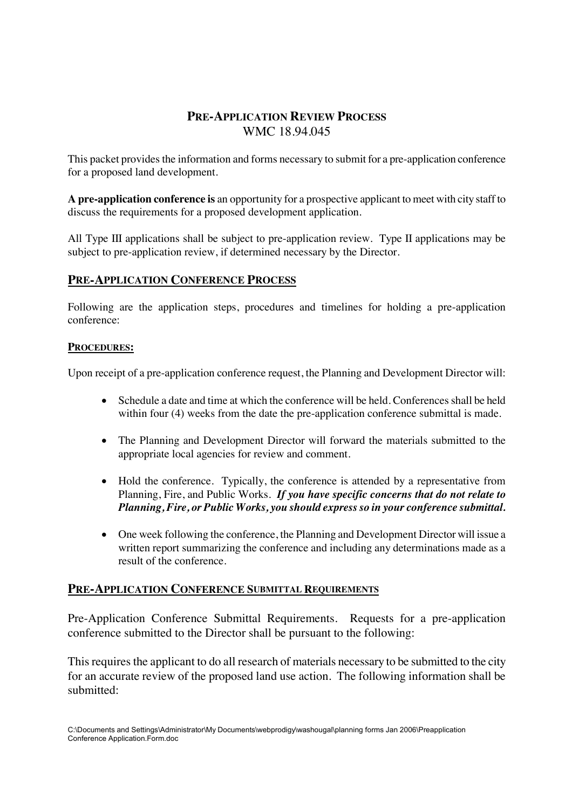# **PRE-APPLICATION REVIEW PROCESS** WMC 18.94.045

This packet provides the information and forms necessary to submit for a pre-application conference for a proposed land development.

**A pre-application conference is** an opportunity for a prospective applicant to meet with city staff to discuss the requirements for a proposed development application.

All Type III applications shall be subject to pre-application review. Type II applications may be subject to pre-application review, if determined necessary by the Director.

## **PRE-APPLICATION CONFERENCE PROCESS**

Following are the application steps, procedures and timelines for holding a pre-application conference:

### **PROCEDURES:**

Upon receipt of a pre-application conference request, the Planning and Development Director will:

- Schedule a date and time at which the conference will be held. Conferences shall be held within four (4) weeks from the date the pre-application conference submittal is made.
- The Planning and Development Director will forward the materials submitted to the appropriate local agencies for review and comment.
- Hold the conference. Typically, the conference is attended by a representative from Planning, Fire, and Public Works. *If you have specific concerns that do not relate to Planning, Fire, or Public Works, you should express so in your conference submittal.*
- One week following the conference, the Planning and Development Director will issue a written report summarizing the conference and including any determinations made as a result of the conference.

### **PRE-APPLICATION CONFERENCE SUBMITTAL REQUIREMENTS**

Pre-Application Conference Submittal Requirements. Requests for a pre-application conference submitted to the Director shall be pursuant to the following:

This requires the applicant to do all research of materials necessary to be submitted to the city for an accurate review of the proposed land use action. The following information shall be submitted: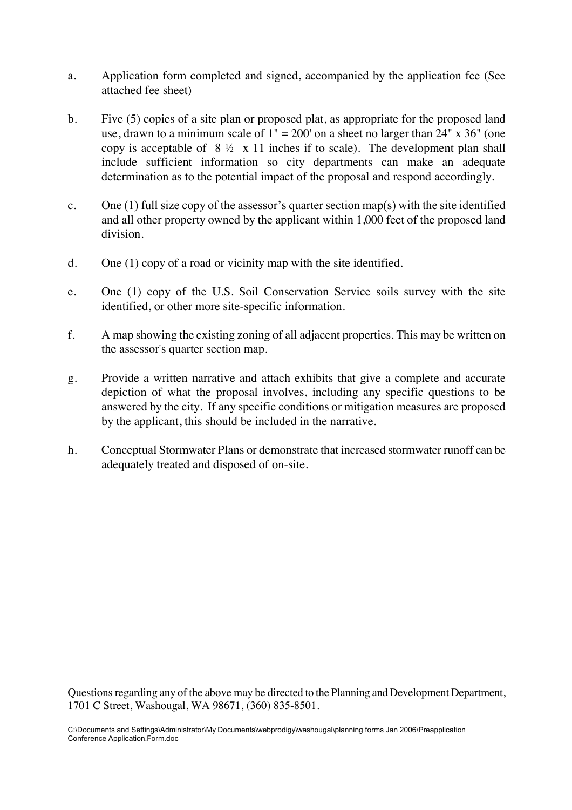- a. Application form completed and signed, accompanied by the application fee (See attached fee sheet)
- b. Five (5) copies of a site plan or proposed plat, as appropriate for the proposed land use, drawn to a minimum scale of  $1" = 200'$  on a sheet no larger than  $24" \times 36"$  (one copy is acceptable of  $8\frac{1}{2} \times 11$  inches if to scale). The development plan shall include sufficient information so city departments can make an adequate determination as to the potential impact of the proposal and respond accordingly.
- c. One (1) full size copy of the assessor's quarter section map(s) with the site identified and all other property owned by the applicant within 1,000 feet of the proposed land division.
- d. One (1) copy of a road or vicinity map with the site identified.
- e. One (1) copy of the U.S. Soil Conservation Service soils survey with the site identified, or other more site-specific information.
- f. A map showing the existing zoning of all adjacent properties. This may be written on the assessor's quarter section map.
- g. Provide a written narrative and attach exhibits that give a complete and accurate depiction of what the proposal involves, including any specific questions to be answered by the city. If any specific conditions or mitigation measures are proposed by the applicant, this should be included in the narrative.
- h. Conceptual Stormwater Plans or demonstrate that increased stormwater runoff can be adequately treated and disposed of on-site.

Questions regarding any of the above may be directed to the Planning and Development Department, 1701 C Street, Washougal, WA 98671, (360) 835-8501.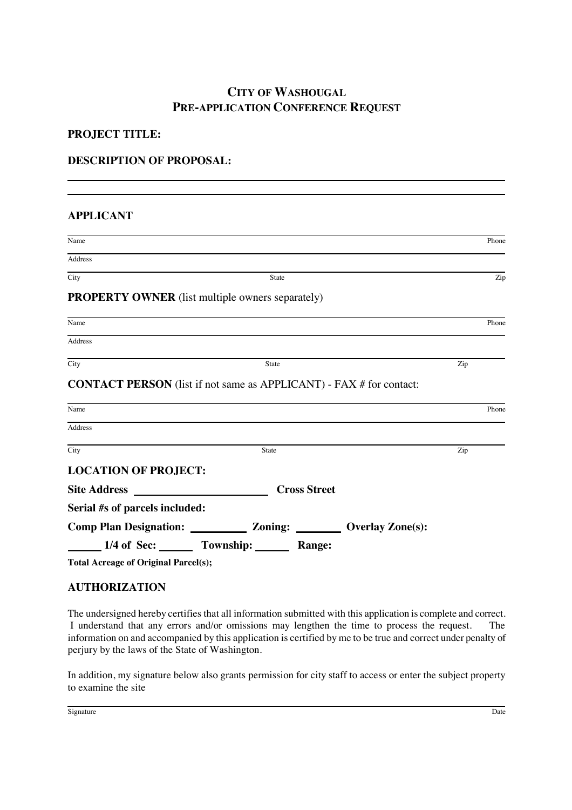# **CITY OF WASHOUGAL PRE-APPLICATION CONFERENCE REQUEST**

### **PROJECT TITLE:**

### **DESCRIPTION OF PROPOSAL:**

#### **APPLICANT**

| Name                           |                                                                                  |  | Phone |
|--------------------------------|----------------------------------------------------------------------------------|--|-------|
| Address                        |                                                                                  |  |       |
| City                           | State                                                                            |  | Zip   |
|                                | <b>PROPERTY OWNER</b> (list multiple owners separately)                          |  |       |
| Name                           |                                                                                  |  | Phone |
| Address                        |                                                                                  |  |       |
| City                           | State                                                                            |  | Zip   |
|                                | <b>CONTACT PERSON</b> (list if not same as APPLICANT) - FAX # for contact:       |  |       |
| Name                           |                                                                                  |  | Phone |
| Address                        |                                                                                  |  |       |
| City                           | <b>State</b>                                                                     |  | Zip   |
| <b>LOCATION OF PROJECT:</b>    |                                                                                  |  |       |
| <b>Site Address</b>            | <u>and the state of the state</u><br><b>Cross Street</b>                         |  |       |
| Serial #s of parcels included: |                                                                                  |  |       |
|                                | Comp Plan Designation: ____________________ Zoning: ___________ Overlay Zone(s): |  |       |
|                                | 1/4 of Sec: Township: Range:                                                     |  |       |

**Total Acreage of Original Parcel(s);**

## **AUTHORIZATION**

The undersigned hereby certifies that all information submitted with this application is complete and correct. I understand that any errors and/or omissions may lengthen the time to process the request. The information on and accompanied by this application is certified by me to be true and correct under penalty of perjury by the laws of the State of Washington.

In addition, my signature below also grants permission for city staff to access or enter the subject property to examine the site

Signature **Date**